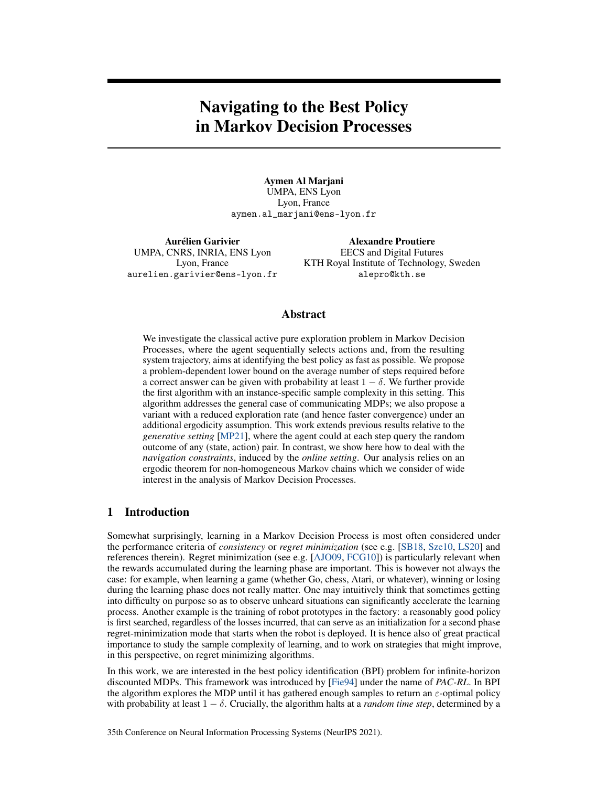# Navigating to the Best Policy in Markov Decision Processes

Aymen Al Marjani UMPA, ENS Lyon Lyon, France aymen.al\_marjani@ens-lyon.fr

Aurélien Garivier UMPA, CNRS, INRIA, ENS Lyon Lyon, France aurelien.garivier@ens-lyon.fr

Alexandre Proutiere EECS and Digital Futures KTH Royal Institute of Technology, Sweden alepro@kth.se

## Abstract

We investigate the classical active pure exploration problem in Markov Decision Processes, where the agent sequentially selects actions and, from the resulting system trajectory, aims at identifying the best policy as fast as possible. We propose a problem-dependent lower bound on the average number of steps required before a correct answer can be given with probability at least  $1 - \delta$ . We further provide the first algorithm with an instance-specific sample complexity in this setting. This algorithm addresses the general case of communicating MDPs; we also propose a variant with a reduced exploration rate (and hence faster convergence) under an additional ergodicity assumption. This work extends previous results relative to the *generative setting* [MP21], where the agent could at each step query the random outcome of any (state, action) pair. In contrast, we show here how to deal with the *navigation constraints*, induced by the *online setting*. Our analysis relies on an ergodic theorem for non-homogeneous Markov chains which we consider of wide interest in the analysis of Markov Decision Processes.

## 1 Introduction

Somewhat surprisingly, learning in a Markov Decision Process is most often considered under the performance criteria of *consistency* or *regret minimization* (see e.g. [SB18, Sze10, LS20] and references therein). Regret minimization (see e.g. [AJO09, FCG10]) is particularly relevant when the rewards accumulated during the learning phase are important. This is however not always the case: for example, when learning a game (whether Go, chess, Atari, or whatever), winning or losing during the learning phase does not really matter. One may intuitively think that sometimes getting into difficulty on purpose so as to observe unheard situations can significantly accelerate the learning process. Another example is the training of robot prototypes in the factory: a reasonably good policy is first searched, regardless of the losses incurred, that can serve as an initialization for a second phase regret-minimization mode that starts when the robot is deployed. It is hence also of great practical importance to study the sample complexity of learning, and to work on strategies that might improve, in this perspective, on regret minimizing algorithms.

In this work, we are interested in the best policy identification (BPI) problem for infinite-horizon discounted MDPs. This framework was introduced by [Fie94] under the name of *PAC-RL*. In BPI the algorithm explores the MDP until it has gathered enough samples to return an  $\varepsilon$ -optimal policy with probability at least  $1 - \delta$ . Crucially, the algorithm halts at a *random time step*, determined by a

35th Conference on Neural Information Processing Systems (NeurIPS 2021).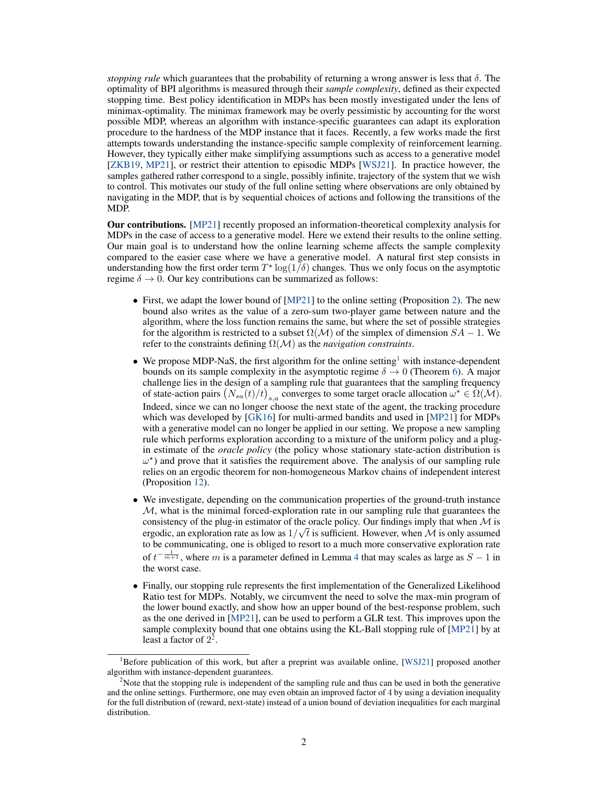*stopping rule* which guarantees that the probability of returning a wrong answer is less that  $\delta$ . The optimality of BPI algorithms is measured through their *sample complexity*, defined as their expected stopping time. Best policy identification in MDPs has been mostly investigated under the lens of minimax-optimality. The minimax framework may be overly pessimistic by accounting for the worst possible MDP, whereas an algorithm with instance-specific guarantees can adapt its exploration procedure to the hardness of the MDP instance that it faces. Recently, a few works made the first attempts towards understanding the instance-specific sample complexity of reinforcement learning. However, they typically either make simplifying assumptions such as access to a generative model [ZKB19, MP21], or restrict their attention to episodic MDPs [WSJ21]. In practice however, the samples gathered rather correspond to a single, possibly infinite, trajectory of the system that we wish to control. This motivates our study of the full online setting where observations are only obtained by navigating in the MDP, that is by sequential choices of actions and following the transitions of the MDP.

Our contributions. [MP21] recently proposed an information-theoretical complexity analysis for MDPs in the case of access to a generative model. Here we extend their results to the online setting. Our main goal is to understand how the online learning scheme affects the sample complexity compared to the easier case where we have a generative model. A natural first step consists in understanding how the first order term  $T^* \log(1/\delta)$  changes. Thus we only focus on the asymptotic regime  $\delta \rightarrow 0$ . Our key contributions can be summarized as follows:

- First, we adapt the lower bound of [MP21] to the online setting (Proposition 2). The new bound also writes as the value of a zero-sum two-player game between nature and the algorithm, where the loss function remains the same, but where the set of possible strategies for the algorithm is restricted to a subset  $\Omega(\mathcal{M})$  of the simplex of dimension  $SA - 1$ . We refer to the constraints defining Ω(M) as the *navigation constraints*.
- We propose MDP-NaS, the first algorithm for the online setting<sup>1</sup> with instance-dependent bounds on its sample complexity in the asymptotic regime  $\delta \to 0$  (Theorem 6). A major challenge lies in the design of a sampling rule that guarantees that the sampling frequency of state-action pairs  $(N_{sa}(t)/t)_{s,a}$  converges to some target oracle allocation  $\omega^* \in \Omega(\mathcal{M})$ . Indeed, since we can no longer choose the next state of the agent, the tracking procedure which was developed by [GK16] for multi-armed bandits and used in [MP21] for MDPs with a generative model can no longer be applied in our setting. We propose a new sampling rule which performs exploration according to a mixture of the uniform policy and a plugin estimate of the *oracle policy* (the policy whose stationary state-action distribution is  $\omega^*$ ) and prove that it satisfies the requirement above. The analysis of our sampling rule relies on an ergodic theorem for non-homogeneous Markov chains of independent interest (Proposition 12).
- We investigate, depending on the communication properties of the ground-truth instance  $M$ , what is the minimal forced-exploration rate in our sampling rule that guarantees the consistency of the plug-in estimator of the oracle policy. Our findings imply that when  $\mathcal M$  is ergodic, an exploration rate as low as  $1/\sqrt{t}$  is sufficient. However, when M is only assumed to be communicating, one is obliged to resort to a much more conservative exploration rate of  $t^{-\frac{1}{m+1}}$ , where m is a parameter defined in Lemma 4 that may scales as large as  $S - 1$  in the worst case.
- Finally, our stopping rule represents the first implementation of the Generalized Likelihood Ratio test for MDPs. Notably, we circumvent the need to solve the max-min program of the lower bound exactly, and show how an upper bound of the best-response problem, such as the one derived in [MP21], can be used to perform a GLR test. This improves upon the sample complexity bound that one obtains using the KL-Ball stopping rule of [MP21] by at least a factor of  $2^2$ .

<sup>&</sup>lt;sup>1</sup>Before publication of this work, but after a preprint was available online, [WSJ21] proposed another algorithm with instance-dependent guarantees.

<sup>&</sup>lt;sup>2</sup>Note that the stopping rule is independent of the sampling rule and thus can be used in both the generative and the online settings. Furthermore, one may even obtain an improved factor of 4 by using a deviation inequality for the full distribution of (reward, next-state) instead of a union bound of deviation inequalities for each marginal distribution.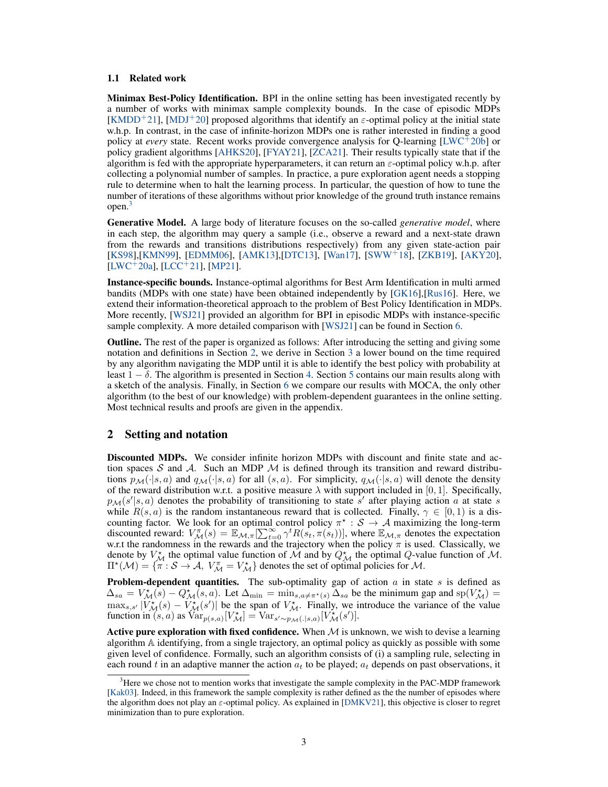#### 1.1 Related work

Minimax Best-Policy Identification. BPI in the online setting has been investigated recently by a number of works with minimax sample complexity bounds. In the case of episodic MDPs [KMDD<sup>+</sup>21], [MDJ<sup>+</sup>20] proposed algorithms that identify an  $\varepsilon$ -optimal policy at the initial state w.h.p. In contrast, in the case of infinite-horizon MDPs one is rather interested in finding a good policy at *every* state. Recent works provide convergence analysis for Q-learning [LWC<sup>+</sup>20b] or policy gradient algorithms [AHKS20], [FYAY21], [ZCA21]. Their results typically state that if the algorithm is fed with the appropriate hyperparameters, it can return an  $\varepsilon$ -optimal policy w.h.p. after collecting a polynomial number of samples. In practice, a pure exploration agent needs a stopping rule to determine when to halt the learning process. In particular, the question of how to tune the number of iterations of these algorithms without prior knowledge of the ground truth instance remains open.<sup>3</sup>

Generative Model. A large body of literature focuses on the so-called *generative model*, where in each step, the algorithm may query a sample (i.e., observe a reward and a next-state drawn from the rewards and transitions distributions respectively) from any given state-action pair [KS98],[KMN99], [EDMM06], [AMK13],[DTC13], [Wan17], [SWW<sup>+</sup>18], [ZKB19], [AKY20],  $[LWC+20a]$ ,  $[LCC+21]$ ,  $[MP21]$ .

Instance-specific bounds. Instance-optimal algorithms for Best Arm Identification in multi armed bandits (MDPs with one state) have been obtained independently by [GK16],[Rus16]. Here, we extend their information-theoretical approach to the problem of Best Policy Identification in MDPs. More recently, [WSJ21] provided an algorithm for BPI in episodic MDPs with instance-specific sample complexity. A more detailed comparison with [WSJ21] can be found in Section 6.

Outline. The rest of the paper is organized as follows: After introducing the setting and giving some notation and definitions in Section 2, we derive in Section 3 a lower bound on the time required by any algorithm navigating the MDP until it is able to identify the best policy with probability at least  $1 - \delta$ . The algorithm is presented in Section 4. Section 5 contains our main results along with a sketch of the analysis. Finally, in Section 6 we compare our results with MOCA, the only other algorithm (to the best of our knowledge) with problem-dependent guarantees in the online setting. Most technical results and proofs are given in the appendix.

## 2 Setting and notation

Discounted MDPs. We consider infinite horizon MDPs with discount and finite state and action spaces S and A. Such an MDP  $M$  is defined through its transition and reward distributions  $p_{\mathcal{M}}(\cdot|s, a)$  and  $q_{\mathcal{M}}(\cdot|s, a)$  for all  $(s, a)$ . For simplicity,  $q_{\mathcal{M}}(\cdot|s, a)$  will denote the density of the reward distribution w.r.t. a positive measure  $\lambda$  with support included in [0, 1]. Specifically,  $p_{\mathcal{M}}(s'|s, a)$  denotes the probability of transitioning to state s' after playing action a at state s while  $R(s, a)$  is the random instantaneous reward that is collected. Finally,  $\gamma \in [0, 1)$  is a discounting factor. We look for an optimal control policy  $\pi^* : S \to A$  maximizing the long-term discounted reward:  $V_M^{\pi}(s) = \mathbb{E}_{\mathcal{M}, \pi}[\sum_{t=0}^{\infty} \gamma^t R(s_t, \pi(s_t))]$ , where  $\mathbb{E}_{\mathcal{M}, \pi}$  denotes the expectation w.r.t the randomness in the rewards and the trajectory when the policy  $\pi$  is used. Classically, we denote by  $V_M^*$  the optimal value function of M and by  $Q_M^*$  the optimal Q-value function of M.  $\Pi^*(\mathcal{M}) = {\overline{\pi} : \mathcal{S} \to \mathcal{A}, V_{\mathcal{M}}^{\pi} = V_{\mathcal{M}}^*}$  denotes the set of optimal policies for  $\mathcal{M}$ .

**Problem-dependent quantities.** The sub-optimality gap of action a in state s is defined as  $\Delta_{sa} = V_{\mathcal{M}}^{\star}(\overline{s}) - Q_{\mathcal{M}}^{\star}(\overline{s}, a)$ . Let  $\Delta_{\min} = \min_{s, a \neq \pi^{\star}(s)} \overline{\Delta}_{sa}$  be the minimum gap and  $sp(V_{\mathcal{M}}^{\star}) =$  $\max_{s,s'} |V_M^*(s) - V_M^*(s')|$  be the span of  $V_M^*$ . Finally, we introduce the variance of the value function in  $(s, a)$  as  $\text{Var}_{p(s,a)}[V_M^*] = \text{Var}_{s'\sim p_{\mathcal{M}}(.|s,a)}[V_M^*(s')]$ .

Active pure exploration with fixed confidence. When  $M$  is unknown, we wish to devise a learning algorithm A identifying, from a single trajectory, an optimal policy as quickly as possible with some given level of confidence. Formally, such an algorithm consists of (i) a sampling rule, selecting in each round t in an adaptive manner the action  $a_t$  to be played;  $a_t$  depends on past observations, it

<sup>&</sup>lt;sup>3</sup>Here we chose not to mention works that investigate the sample complexity in the PAC-MDP framework [Kak03]. Indeed, in this framework the sample complexity is rather defined as the the number of episodes where the algorithm does not play an  $\varepsilon$ -optimal policy. As explained in [DMKV21], this objective is closer to regret minimization than to pure exploration.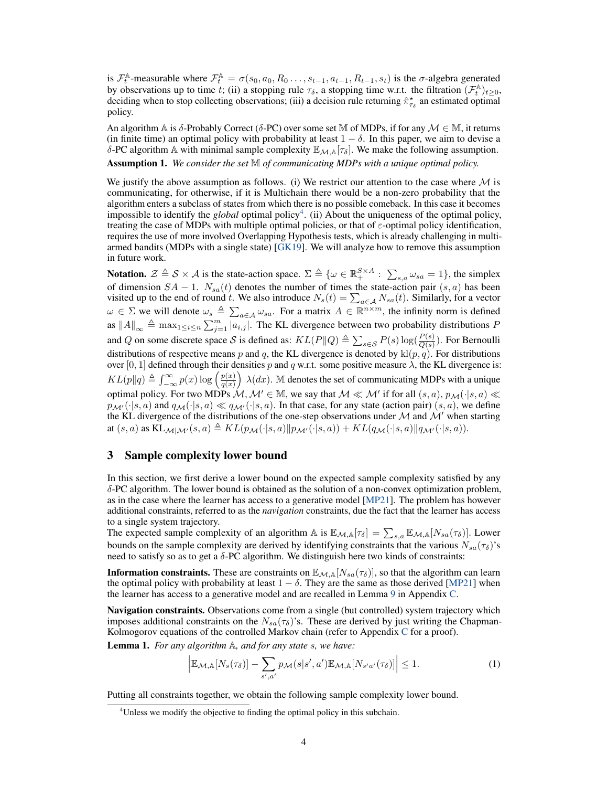is  $\mathcal{F}_t^{\mathbb{A}}$ -measurable where  $\mathcal{F}_t^{\mathbb{A}} = \sigma(s_0, a_0, R_0 \dots, s_{t-1}, a_{t-1}, R_{t-1}, s_t)$  is the  $\sigma$ -algebra generated by observations up to time t; (ii) a stopping rule  $\tau_{\delta}$ , a stopping time w.r.t. the filtration  $(\mathcal{F}_t^{\mathbb{A}})_{t\geq 0}$ , deciding when to stop collecting observations; (iii) a decision rule returning  $\hat{\pi}_{\tau_{\delta}}^*$  an estimated optimal policy.

An algorithm A is  $\delta$ -Probably Correct ( $\delta$ -PC) over some set M of MDPs, if for any  $\mathcal{M} \in \mathbb{M}$ , it returns (in finite time) an optimal policy with probability at least  $1 - \delta$ . In this paper, we aim to devise a δ-PC algorithm A with minimal sample complexity  $\mathbb{E}_{M,A}[\tau_\delta]$ . We make the following assumption.

Assumption 1. *We consider the set* M *of communicating MDPs with a unique optimal policy.*

We justify the above assumption as follows. (i) We restrict our attention to the case where  $\mathcal M$  is communicating, for otherwise, if it is Multichain there would be a non-zero probability that the algorithm enters a subclass of states from which there is no possible comeback. In this case it becomes impossible to identify the *global* optimal policy<sup>4</sup>. (ii) About the uniqueness of the optimal policy, treating the case of MDPs with multiple optimal policies, or that of  $\varepsilon$ -optimal policy identification, requires the use of more involved Overlapping Hypothesis tests, which is already challenging in multiarmed bandits (MDPs with a single state) [GK19]. We will analyze how to remove this assumption in future work.

**Notation.**  $\mathcal{Z} \triangleq \mathcal{S} \times \mathcal{A}$  is the state-action space.  $\Sigma \triangleq \{ \omega \in \mathbb{R}^{S \times A}_{+} : \sum_{s,a} \omega_{sa} = 1 \}$ , the simplex of dimension  $SA - 1$ .  $N_{sa}(t)$  denotes the number of times the state-action pair  $(s, a)$  has been visited up to the end of round t. We also introduce  $N_s(t) = \sum_{a \in A} N_{sa}(t)$ . Similarly, for a vector  $\omega \in \Sigma$  we will denote  $\omega_s \triangleq \sum_{a \in \mathcal{A}} \omega_{sa}$ . For a matrix  $A \in \mathbb{R}^{n \times m}$ , the infinity norm is defined as  $||A||_{\infty} \triangleq \max_{1 \leq i \leq n} \sum_{j=1}^{m} |a_{i,j}|$ . The KL divergence between two probability distributions P and Q on some discrete space S is defined as:  $KL(P||Q) \triangleq \sum_{s \in S} P(s) \log(\frac{P(s)}{Q(s)})$ . For Bernoulli distributions of respective means p and q, the KL divergence is denoted by  $\text{kl}(p,q)$ . For distributions over [0, 1] defined through their densities p and q w.r.t. some positive measure  $\lambda$ , the KL divergence is:  $KL(p||q) \triangleq \int_{-\infty}^{\infty} p(x) \log \left(\frac{p(x)}{q(x)}\right)$  $\big)$   $\lambda(dx)$ . M denotes the set of communicating MDPs with a unique optimal policy. For two MDPs  $\mathcal{M}, \mathcal{M}' \in \mathbb{M}$ , we say that  $\mathcal{M} \ll \mathcal{M}'$  if for all  $(s, a), p_{\mathcal{M}}(\cdot|s, a) \ll \mathcal{M}'$  $p_{\mathcal{M}'}(\cdot|s, a)$  and  $q_{\mathcal{M}}(\cdot|s, a) \ll q_{\mathcal{M}'}(\cdot|s, a)$ . In that case, for any state (action pair)  $(s, a)$ , we define the KL divergence of the distributions of the one-step observations under  $M$  and  $M'$  when starting at  $(s, a)$  as  $KL_{\mathcal{M}|\mathcal{M}'}(s, a) \triangleq KL(p_{\mathcal{M}}(\cdot|s, a)||p_{\mathcal{M}'}(\cdot|s, a)) + KL(q_{\mathcal{M}}(\cdot|s, a)||q_{\mathcal{M}'}(\cdot|s, a)).$ 

## 3 Sample complexity lower bound

In this section, we first derive a lower bound on the expected sample complexity satisfied by any  $\delta$ -PC algorithm. The lower bound is obtained as the solution of a non-convex optimization problem, as in the case where the learner has access to a generative model [MP21]. The problem has however additional constraints, referred to as the *navigation* constraints, due the fact that the learner has access to a single system trajectory.

The expected sample complexity of an algorithm  $\mathbb{A}$  is  $\mathbb{E}_{\mathcal{M},\mathbb{A}}[\tau_{\delta}] = \sum_{s,a} \mathbb{E}_{\mathcal{M},\mathbb{A}}[N_{sa}(\tau_{\delta})]$ . Lower bounds on the sample complexity are derived by identifying constraints that the various  $N_{sa}(\tau_{\delta})$ 's need to satisfy so as to get a  $\delta$ -PC algorithm. We distinguish here two kinds of constraints:

**Information constraints.** These are constraints on  $\mathbb{E}_{M,A}[N_{sa}(\tau_{\delta})]$ , so that the algorithm can learn the optimal policy with probability at least  $1 - \delta$ . They are the same as those derived [MP21] when the learner has access to a generative model and are recalled in Lemma 9 in Appendix C.

Navigation constraints. Observations come from a single (but controlled) system trajectory which imposes additional constraints on the  $N_{sa}(\tau_{\delta})$ 's. These are derived by just writing the Chapman-Kolmogorov equations of the controlled Markov chain (refer to Appendix C for a proof).

Lemma 1. *For any algorithm* A*, and for any state* s*, we have:*

$$
\left| \mathbb{E}_{\mathcal{M},\mathbb{A}}[N_s(\tau_\delta)] - \sum_{s',a'} p_{\mathcal{M}}(s|s',a') \mathbb{E}_{\mathcal{M},\mathbb{A}}[N_{s'a'}(\tau_\delta)] \right| \le 1.
$$
 (1)

Putting all constraints together, we obtain the following sample complexity lower bound.

<sup>&</sup>lt;sup>4</sup>Unless we modify the objective to finding the optimal policy in this subchain.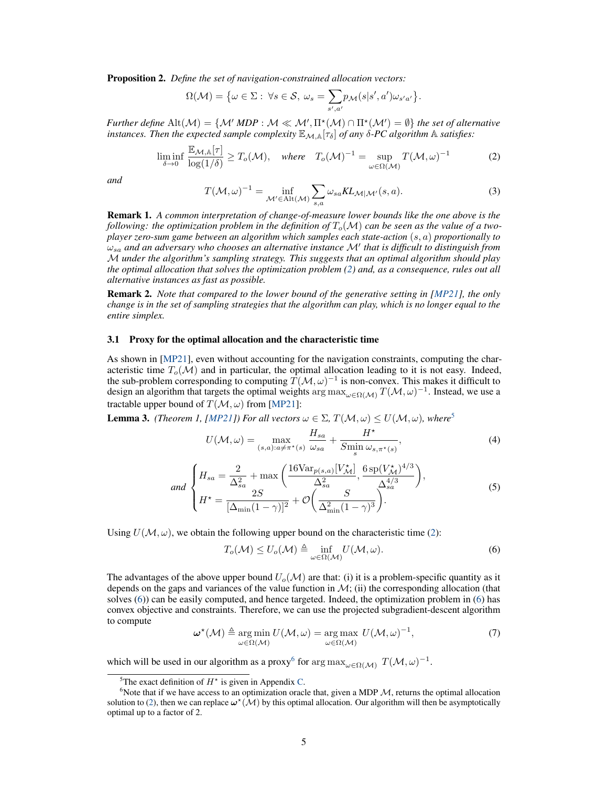Proposition 2. *Define the set of navigation-constrained allocation vectors:*

$$
\Omega(\mathcal{M}) = \big\{\omega \in \Sigma: \ \forall s \in \mathcal{S}, \ \omega_s = \sum_{s',a'} p_{\mathcal{M}}(s|s',a')\omega_{s'a'}\big\}.
$$

*Further define*  $\text{Alt}(\mathcal{M}) = \{ \mathcal{M}' \text{ } MDP : \mathcal{M} \ll \mathcal{M}', \Pi^*(\mathcal{M}) \cap \Pi^*(\mathcal{M}') = \emptyset \}$  *the set of alternative instances. Then the expected sample complexity*  $\mathbb{E}_{\mathcal{M},\mathbb{A}}[\tau_{\delta}]$  *of any*  $\delta$ -*PC algorithm*  $\mathbb{A}$  *satisfies:* 

$$
\liminf_{\delta \to 0} \frac{\mathbb{E}_{\mathcal{M},\mathbb{A}}[\tau]}{\log(1/\delta)} \ge T_o(\mathcal{M}), \quad \text{where} \quad T_o(\mathcal{M})^{-1} = \sup_{\omega \in \Omega(\mathcal{M})} T(\mathcal{M}, \omega)^{-1} \tag{2}
$$

*and*

$$
T(\mathcal{M}, \omega)^{-1} = \inf_{\mathcal{M}' \in \text{Alt}(\mathcal{M})} \sum_{s, a} \omega_{sa} KL_{\mathcal{M}|\mathcal{M}'}(s, a). \tag{3}
$$

Remark 1. *A common interpretation of change-of-measure lower bounds like the one above is the following: the optimization problem in the definition of*  $T_o(\mathcal{M})$  *can be seen as the value of a twoplayer zero-sum game between an algorithm which samples each state-action* (s, a) *proportionally to* ωsa *and an adversary who chooses an alternative instance* M� *that is difficult to distinguish from* M *under the algorithm's sampling strategy. This suggests that an optimal algorithm should play the optimal allocation that solves the optimization problem (2) and, as a consequence, rules out all alternative instances as fast as possible.*

Remark 2. *Note that compared to the lower bound of the generative setting in [MP21], the only change is in the set of sampling strategies that the algorithm can play, which is no longer equal to the entire simplex.*

#### 3.1 Proxy for the optimal allocation and the characteristic time

As shown in [MP21], even without accounting for the navigation constraints, computing the characteristic time  $T_o(\mathcal{M})$  and in particular, the optimal allocation leading to it is not easy. Indeed, the sub-problem corresponding to computing  $T(M, \omega)^{-1}$  is non-convex. This makes it difficult to design an algorithm that targets the optimal weights arg max<sub> $\omega \in \Omega(M)$ </sub>  $T(M, \omega)^{-1}$ . Instead, we use a tractable upper bound of  $T(\mathcal{M}, \omega)$  from [MP21]:

**Lemma 3.** *(Theorem 1, [MP21]) For all vectors*  $\omega \in \Sigma$ ,  $T(\mathcal{M}, \omega) \leq U(\mathcal{M}, \omega)$ *, where*<sup>5</sup>

$$
U(\mathcal{M}, \omega) = \max_{(s, a): a \neq \pi^*(s)} \frac{H_{sa}}{\omega_{sa}} + \frac{H^*}{S_{\min} \omega_{s, \pi^*(s)}},
$$
(4)

and 
$$
\begin{cases} H_{sa} = \frac{2}{\Delta_{sa}^2} + \max\left(\frac{16\text{Var}_{p(s,a)}[V_{\mathcal{M}}^*]}{\Delta_{sa}^2}, \frac{6\,\text{sp}(V_{\mathcal{M}}^*)^{4/3}}{\Delta_{sa}^{4/3}}\right), \\ H^{\star} = \frac{2S}{[\Delta_{\min}(1-\gamma)]^2} + \mathcal{O}\left(\frac{S}{\Delta_{\min}^2(1-\gamma)^3}\right). \end{cases}
$$
(5)

Using  $U(\mathcal{M}, \omega)$ , we obtain the following upper bound on the characteristic time (2):

$$
T_o(\mathcal{M}) \le U_o(\mathcal{M}) \triangleq \inf_{\omega \in \Omega(\mathcal{M})} U(\mathcal{M}, \omega).
$$
 (6)

The advantages of the above upper bound  $U_o(\mathcal{M})$  are that: (i) it is a problem-specific quantity as it depends on the gaps and variances of the value function in  $\mathcal{M}$ ; (ii) the corresponding allocation (that solves (6)) can be easily computed, and hence targeted. Indeed, the optimization problem in (6) has convex objective and constraints. Therefore, we can use the projected subgradient-descent algorithm to compute

$$
\boldsymbol{\omega}^{\star}(\mathcal{M}) \triangleq \underset{\omega \in \Omega(\mathcal{M})}{\arg \min} U(\mathcal{M}, \omega) = \underset{\omega \in \Omega(\mathcal{M})}{\arg \max} U(\mathcal{M}, \omega)^{-1}, \tag{7}
$$

which will be used in our algorithm as a proxy<sup>6</sup> for arg max<sub> $\omega \in \Omega(M)$ </sub>  $T(M, \omega)^{-1}$ .

<sup>&</sup>lt;sup>5</sup>The exact definition of  $H^*$  is given in Appendix C.

<sup>&</sup>lt;sup>6</sup> Note that if we have access to an optimization oracle that, given a MDP  $M$ , returns the optimal allocation solution to (2), then we can replace  $\omega^*(\mathcal{M})$  by this optimal allocation. Our algorithm will then be asymptotically optimal up to a factor of 2.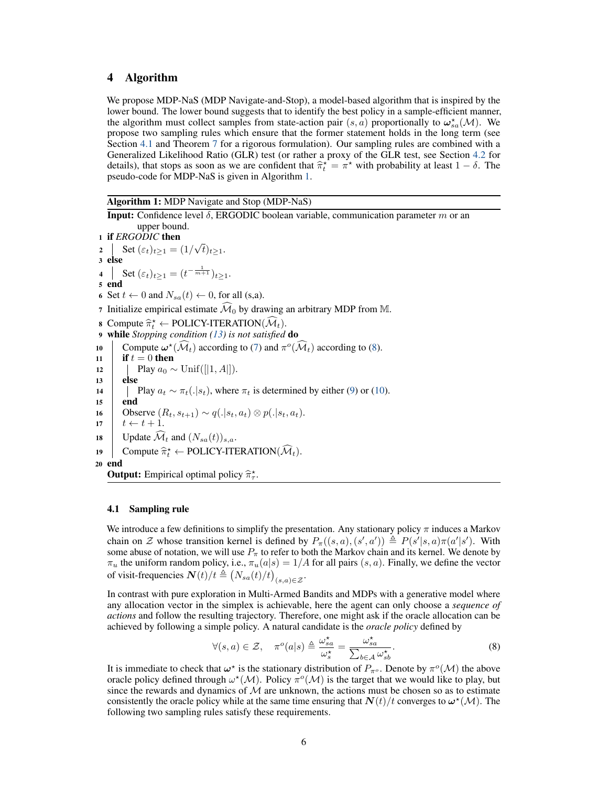# 4 Algorithm

We propose MDP-NaS (MDP Navigate-and-Stop), a model-based algorithm that is inspired by the lower bound. The lower bound suggests that to identify the best policy in a sample-efficient manner, the algorithm must collect samples from state-action pair  $(s, a)$  proportionally to  $\omega_{sa}^{\star}(\mathcal{M})$ . We propose two sampling rules which ensure that the former statement holds in the long term (see Section 4.1 and Theorem 7 for a rigorous formulation). Our sampling rules are combined with a Generalized Likelihood Ratio (GLR) test (or rather a proxy of the GLR test, see Section 4.2 for details), that stops as soon as we are confident that  $\hat{\pi}_t^* = \pi^*$  with probability at least  $1 - \delta$ . The provide code for MDP NeS is given in Algorithm 1. pseudo-code for MDP-NaS is given in Algorithm 1.

Algorithm 1: MDP Navigate and Stop (MDP-NaS)

**Input:** Confidence level  $\delta$ , ERGODIC boolean variable, communication parameter m or an upper bound. <sup>1</sup> if *ERGODIC* then 2 Set  $(\varepsilon_t)_{t \geq 1} = (1/\sqrt{t})_{t \geq 1}$ . 3 else 4 Set  $(\varepsilon_t)_{t\geq 1} = (t^{-\frac{1}{m+1}})_{t\geq 1}$ . <sup>5</sup> end 6 Set  $t \leftarrow 0$  and  $N_{sa}(t) \leftarrow 0$ , for all (s,a). 7 Initialize empirical estimate  $\widehat{\mathcal{M}}_0$  by drawing an arbitrary MDP from M. 8 Compute  $\hat{\pi}_t^* \leftarrow \text{POLICY-ITERATION}(\hat{\mathcal{M}}_t)$ . <sup>9</sup> while *Stopping condition (13) is not satisfied* do 10 Compute  $\boldsymbol{\omega}^*(\widehat{\mathcal{M}}_t)$  according to (7) and  $\pi^o(\widehat{\mathcal{M}}_t)$  according to (8).<br> **if**  $t = 0$  **then** if  $t = 0$  then 12 Play  $a_0 \sim \text{Unif}([1, A]).$ <br>13 Play  $a_0 \sim \text{Unif}([1, A]).$ else 14 Play  $a_t \sim \pi_t(.|s_t)$ , where  $\pi_t$  is determined by either (9) or (10). end 16 Observe  $(R_t, s_{t+1}) \sim q(.|s_t, a_t) \otimes p(.|s_t, a_t)$ .<br>17  $t \leftarrow t+1$ .  $t \leftarrow t + 1$ . 18 Update  $\widehat{\mathcal{M}}_t$  and  $(N_{sa}(t))_{s,a}$ . 19 Compute  $\hat{\pi}_t^* \leftarrow \text{POLICY-ITERATION}(\hat{\mathcal{M}}_t)$ . <sup>20</sup> end **Output:** Empirical optimal policy  $\hat{\pi}_{\tau}^*$ .

#### 4.1 Sampling rule

We introduce a few definitions to simplify the presentation. Any stationary policy  $\pi$  induces a Markov chain on Z whose transition kernel is defined by  $P_{\pi}((s, a), (s', a')) \triangleq P(s'|s, a)\pi(a'|s')$ . With some abuse of notation, we will use  $P_{\pi}$  to refer to both the Markov chain and its kernel. We denote by  $\pi_u$  the uniform random policy, i.e.,  $\pi_u(a|s) = 1/A$  for all pairs  $(s, a)$ . Finally, we define the vector of visit-frequencies  $\boldsymbol{N}(t)/t \triangleq (N_{sa}(t)/t)_{(s,a)\in\mathcal{Z}}$ .

In contrast with pure exploration in Multi-Armed Bandits and MDPs with a generative model where any allocation vector in the simplex is achievable, here the agent can only choose a *sequence of actions* and follow the resulting trajectory. Therefore, one might ask if the oracle allocation can be achieved by following a simple policy. A natural candidate is the *oracle policy* defined by

$$
\forall (s,a) \in \mathcal{Z}, \quad \pi^o(a|s) \triangleq \frac{\omega_{sa}^{\star}}{\omega_s^{\star}} = \frac{\omega_{sa}^{\star}}{\sum_{b \in \mathcal{A}} \omega_{sb}^{\star}}.
$$
\n
$$
(8)
$$

It is immediate to check that  $\omega^*$  is the stationary distribution of  $P_{\pi^o}$ . Denote by  $\pi^o(\mathcal{M})$  the above oracle policy defined through  $\omega^*(\mathcal{M})$ . Policy  $\pi^o(\mathcal{M})$  is the target that we would like to play, but since the rewards and dynamics of  $M$  are unknown, the actions must be chosen so as to estimate consistently the oracle policy while at the same time ensuring that  $N(t)/t$  converges to  $\omega^*(\mathcal{M})$ . The following two sampling rules satisfy these requirements.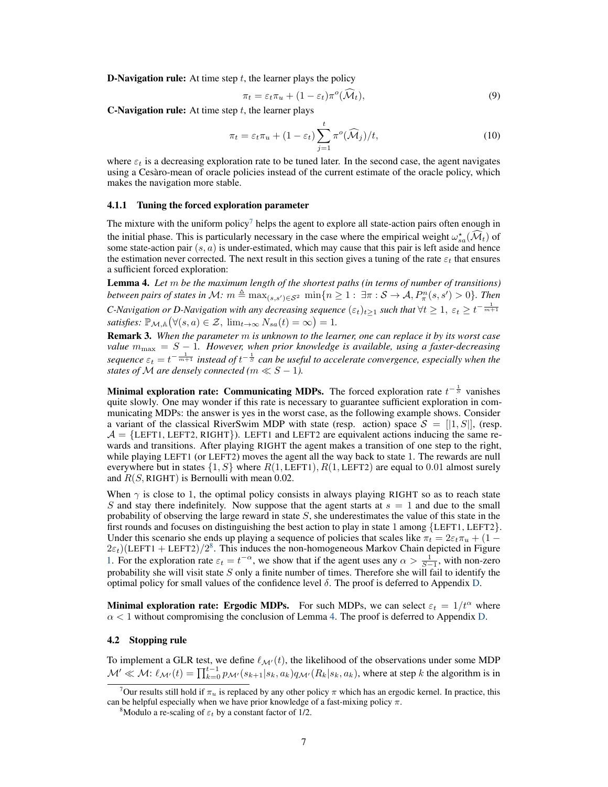**D-Navigation rule:** At time step  $t$ , the learner plays the policy

$$
\pi_t = \varepsilon_t \pi_u + (1 - \varepsilon_t) \pi^o(\widehat{\mathcal{M}}_t), \tag{9}
$$

**C-Navigation rule:** At time step  $t$ , the learner plays

$$
\pi_t = \varepsilon_t \pi_u + (1 - \varepsilon_t) \sum_{j=1}^t \pi^o(\widehat{\mathcal{M}}_j) / t,\tag{10}
$$

where  $\varepsilon_t$  is a decreasing exploration rate to be tuned later. In the second case, the agent navigates using a Cesàro-mean of oracle policies instead of the current estimate of the oracle policy, which makes the navigation more stable.

#### 4.1.1 Tuning the forced exploration parameter

The mixture with the uniform policy<sup>7</sup> helps the agent to explore all state-action pairs often enough in the initial phase. This is particularly necessary in the case where the empirical weight  $\omega_{sa}^*(\mathcal{M}_t)$  of some state-action pair  $(s, a)$  is under-estimated, which may cause that this pair is left aside and hence the estimation never corrected. The next result in this section gives a tuning of the rate  $\varepsilon_t$  that ensures a sufficient forced exploration:

Lemma 4. *Let* m *be the maximum length of the shortest paths (in terms of number of transitions) between pairs of states in M:*  $m \triangleq \max_{(s,s') \in \mathcal{S}^2} \min\{n \geq 1: \exists \pi: \mathcal{S} \to \mathcal{A}, P^n_{\pi}(s,s') > 0\}$ *. Then C*-Navigation or *D*-Navigation with any decreasing sequence  $(\varepsilon_t)_{t\geq 1}$  such that  $\forall t\geq 1, \ \varepsilon_t\geq t^{-\frac{1}{m+1}}$ *satisfies:*  $\mathbb{P}_{\mathcal{M},\mathbb{A}}(\forall (s,a) \in \mathcal{Z}, \ \lim_{t \to \infty} N_{sa}(t) = \infty) = 1.$ 

Remark 3. *When the parameter* m *is unknown to the learner, one can replace it by its worst case value*  $m_{\text{max}} = S - 1$ . However, when prior knowledge is available, using a faster-decreasing sequence  $\varepsilon_t = t^{-\frac{1}{m+1}}$  instead of  $t^{-\frac{1}{S}}$  can be useful to accelerate convergence, especially when the *states of*  $M$  *are densely connected (m*  $\ll S - 1$ *).* 

**Minimal exploration rate: Communicating MDPs.** The forced exploration rate  $t^{-\frac{1}{S}}$  vanishes quite slowly. One may wonder if this rate is necessary to guarantee sufficient exploration in communicating MDPs: the answer is yes in the worst case, as the following example shows. Consider a variant of the classical RiverSwim MDP with state (resp. action) space  $S = [1, S]$ , (resp.  $\mathcal{A} = \{LEFT1, LEFT2, RIGHT\}$ . LEFT1 and LEFT2 are equivalent actions inducing the same rewards and transitions. After playing RIGHT the agent makes a transition of one step to the right, while playing LEFT1 (or LEFT2) moves the agent all the way back to state 1. The rewards are null everywhere but in states  $\{1, S\}$  where  $R(1, \text{LEFT1}), R(1, \text{LEFT2})$  are equal to 0.01 almost surely and  $R(S, \text{RIGHT})$  is Bernoulli with mean 0.02.

When  $\gamma$  is close to 1, the optimal policy consists in always playing RIGHT so as to reach state S and stay there indefinitely. Now suppose that the agent starts at  $s = 1$  and due to the small probability of observing the large reward in state  $S$ , she underestimates the value of this state in the first rounds and focuses on distinguishing the best action to play in state 1 among {LEFT1, LEFT2}. Under this scenario she ends up playing a sequence of policies that scales like  $\pi_t = 2\varepsilon_t \pi_u + (1 2\varepsilon_t$ )(LEFT1 + LEFT2)/2<sup>8</sup>. This induces the non-homogeneous Markov Chain depicted in Figure 1. For the exploration rate  $\varepsilon_t = t^{-\alpha}$ , we show that if the agent uses any  $\alpha > \frac{1}{S-1}$ , with non-zero probability she will visit state  $S$  only a finite number of times. Therefore she will fail to identify the optimal policy for small values of the confidence level  $\delta$ . The proof is deferred to Appendix D.

**Minimal exploration rate: Ergodic MDPs.** For such MDPs, we can select  $\varepsilon_t = 1/t^{\alpha}$  where  $\alpha$  < 1 without compromising the conclusion of Lemma 4. The proof is deferred to Appendix D.

#### 4.2 Stopping rule

To implement a GLR test, we define  $\ell_{\mathcal{M}'}(t)$ , the likelihood of the observations under some MDP  $\mathcal{M}' \ll \mathcal{M}$ :  $\ell_{\mathcal{M}'}(t) = \prod_{k=0}^{t-1} p_{\mathcal{M}'}(s_{k+1}|s_k, a_k) q_{\mathcal{M}'}(R_k|s_k, a_k)$ , where at step k the algorithm is in

<sup>&</sup>lt;sup>7</sup>Our results still hold if  $\pi_u$  is replaced by any other policy  $\pi$  which has an ergodic kernel. In practice, this can be helpful especially when we have prior knowledge of a fast-mixing policy  $\pi$ .

<sup>&</sup>lt;sup>8</sup>Modulo a re-scaling of  $\varepsilon_t$  by a constant factor of 1/2.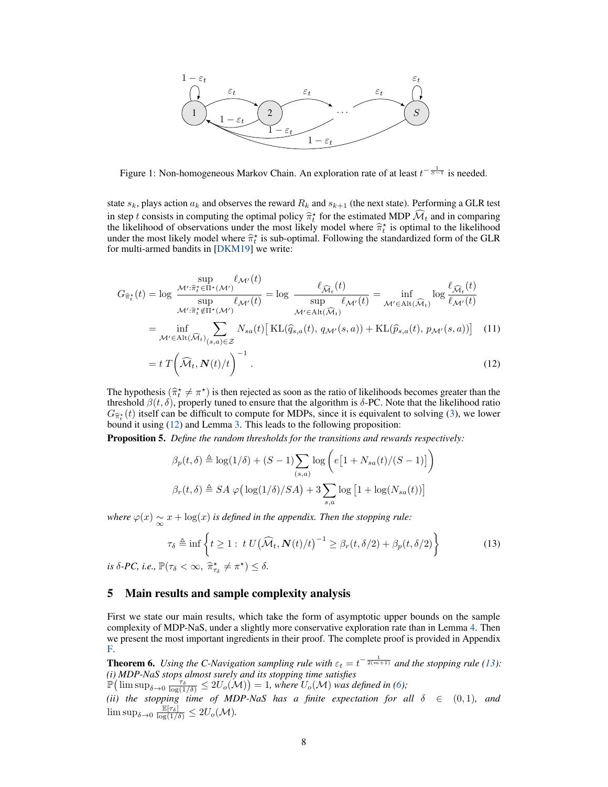

Figure 1: Non-homogeneous Markov Chain. An exploration rate of at least  $t^{-\frac{1}{S-1}}$  is needed.

state  $s_k$ , plays action  $a_k$  and observes the reward  $R_k$  and  $s_{k+1}$  (the next state). Performing a GLR test in step t consists in computing the optimal policy  $\hat{\pi}_t^*$  for the estimated MDP  $\hat{\mathcal{M}}_t$  and in comparing the likelihood of observations under the most likely model where  $\hat{\pi}_t^*$  is optimal to the likelihood the likelihood of observations under the most likely model where  $\hat{\pi}^*$  is optimal to the likelihood under the most likely model where  $\hat{\pi}^*$  is sub-optimal. Following the standardized form of the GLB under the most likely model where  $\hat{\pi}_t^*$  is sub-optimal. Following the standardized form of the GLR for multi armed bandite in  $INMM101$  we write: for multi-armed bandits in [DKM19] we write:

$$
G_{\hat{\pi}^*_{t}}(t) = \log \frac{\sup_{\mathcal{M}' : \hat{\pi}^*_{t} \in \Pi^* (\mathcal{M}')} \ell_{\mathcal{M}'}(t)}{\sup_{\mathcal{M}' : \hat{\pi}^*_{t} \notin \Pi^* (\mathcal{M}')} \ell_{\mathcal{M}'}(t)} = \log \frac{\ell_{\widehat{\mathcal{M}}_t}(t)}{\sup_{\mathcal{M}' \in \text{Alt}(\widehat{\mathcal{M}}_t)} \ell_{\mathcal{M}'}(t)} = \inf_{\mathcal{M}' \in \text{Alt}(\widehat{\mathcal{M}}_t)} \log \frac{\ell_{\widehat{\mathcal{M}}_t}(t)}{\ell_{\mathcal{M}'}(t)}
$$

$$
= \inf_{\mathcal{M}' \in \text{Alt}(\widehat{\mathcal{M}}_t)_{(s,a) \in \mathcal{Z}}} N_{sa}(t) \left[ \text{KL}(\widehat{q}_{s,a}(t), q_{\mathcal{M}'}(s, a)) + \text{KL}(\widehat{p}_{s,a}(t), p_{\mathcal{M}'}(s, a)) \right] \tag{11}
$$

$$
= t \, T \bigg( \widehat{\mathcal{M}}_t, \mathbf{N}(t) / t \bigg)^{-1} \,. \tag{12}
$$

The hypothesis  $(\hat{\pi}_t^* \neq \pi^*)$  is then rejected as soon as the ratio of likelihoods becomes greater than the threshold  $\hat{\beta}(t, \hat{\delta})$  properly tuned to ensure that the eleccitom is  $\hat{\delta}$  PG. Note that the likelihood r threshold  $β(t, δ)$ , properly tuned to ensure that the algorithm is  $δ$ -PC. Note that the likelihood ratio  $G_{\hat{\pi}_t^*}(t)$  itself can be difficult to compute for MDPs, since it is equivalent to solving (3), we lower bound it using (12) and Lemma 3. This leads to the following proposition:

Proposition 5. *Define the random thresholds for the transitions and rewards respectively:*

$$
\beta_p(t,\delta) \triangleq \log(1/\delta) + (S-1) \sum_{(s,a)} \log \left( e\left[1 + N_{sa}(t)/(S-1)\right] \right)
$$

$$
\beta_r(t,\delta) \triangleq SA \varphi \left( \log(1/\delta)/SA \right) + 3 \sum_{s,a} \log \left[1 + \log(N_{sa}(t)) \right]
$$

where  $\varphi(x) \sim x + \log(x)$  is defined in the appendix. Then the stopping rule:

$$
\tau_{\delta} \triangleq \inf \left\{ t \ge 1 : t \ U(\widehat{\mathcal{M}}_t, \mathbf{N}(t)/t)^{-1} \ge \beta_r(t, \delta/2) + \beta_p(t, \delta/2) \right\}
$$
(13)

*is*  $\delta$ -PC, *i.e.*,  $\mathbb{P}(\tau_{\delta} < \infty, \ \hat{\pi}^{\star}_{\tau_{\delta}} \neq \pi^{\star}) \leq \delta$ .

## 5 Main results and sample complexity analysis

First we state our main results, which take the form of asymptotic upper bounds on the sample complexity of MDP-NaS, under a slightly more conservative exploration rate than in Lemma 4. Then we present the most important ingredients in their proof. The complete proof is provided in Appendix F.

**Theorem 6.** Using the C-Navigation sampling rule with  $\varepsilon_t = t^{-\frac{1}{2(m+1)}}$  and the stopping rule (13): *(i) MDP-NaS stops almost surely and its stopping time satisfies*

 $\mathbb{P}(\limsup_{\delta \to 0} \frac{1}{\log(1/\delta)} \leq 2U_o(\mathcal{M})) = 1$ , where  $U_o(\mathcal{M})$  was defined in (6);

*(ii) the stopping time of MDP-NaS has a finite expectation for all*  $\delta \in (0,1)$ *, and*  $\limsup_{\delta \to 0} \frac{\mathbb{E}[\tau_{\delta}]}{\log(1/\delta)} \leq 2U_o(\mathcal{M}).$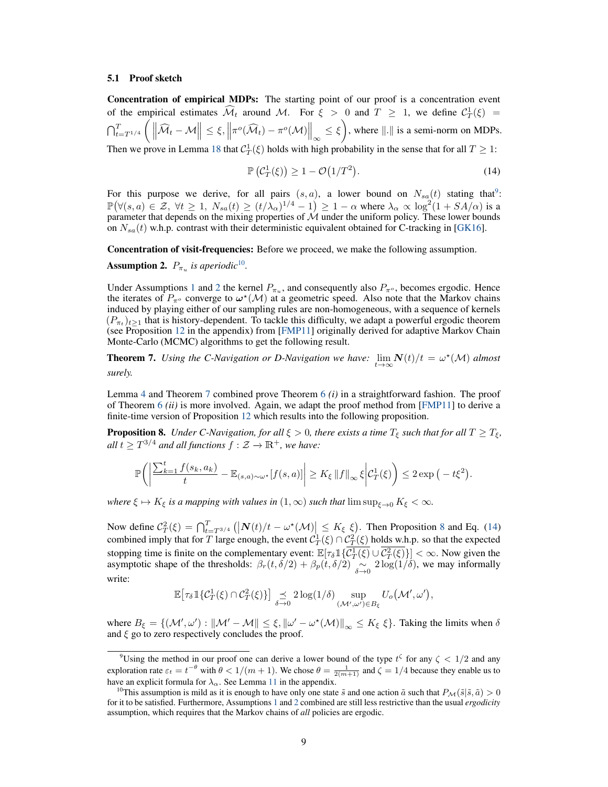#### 5.1 Proof sketch

Concentration of empirical MDPs: The starting point of our proof is a concentration event of the empirical estimates  $\widehat{\mathcal{M}}_t$  around M. For  $\xi > 0$  and  $T \geq 1$ , we define  $\mathcal{C}_T^1(\xi) =$  $\bigcap_{t=T^{1/4}}^T$  $\Big( \, \big\| \widehat{\mathcal{M}}_t - \mathcal{M}$  $\left\| \leq \xi, \left\| \pi^o(\widehat{\mathcal{M}}_t) - \pi^o(\mathcal{M}) \right\|_{\infty} \leq \xi$  $\lambda$ , where  $\|\cdot\|$  is a semi-norm on MDPs. Then we prove in Lemma 18 that  $C_T^1(\xi)$  holds with high probability in the sense that for all  $T \geq 1$ :

$$
\mathbb{P}\left(\mathcal{C}_T^1(\xi)\right) \ge 1 - \mathcal{O}\left(1/T^2\right). \tag{14}
$$

For this purpose we derive, for all pairs  $(s, a)$ , a lower bound on  $N_{sa}(t)$  stating that<sup>9</sup>:  $\mathbb{P}(\forall (s, a) \in \mathcal{Z}, \forall t \geq 1, N_{sa}(t) \geq (t/\lambda_\alpha)^{1/4} - 1) \geq 1 - \alpha$  where  $\lambda_\alpha \propto \log^2(1 + SA/\alpha)$  is a parameter that depends on the mixing properties of  $\mathcal M$  under the uniform policy. These lower bounds on  $N_{sa}(t)$  w.h.p. contrast with their deterministic equivalent obtained for C-tracking in [GK16].

Concentration of visit-frequencies: Before we proceed, we make the following assumption.

**Assumption 2.**  $P_{\pi_u}$  *is aperiodic*<sup>10</sup>.

Under Assumptions 1 and 2 the kernel  $P_{\pi_u}$ , and consequently also  $P_{\pi_v}$ , becomes ergodic. Hence the iterates of  $P_{\pi^o}$  converge to  $\omega^*(\mathcal{M})$  at a geometric speed. Also note that the Markov chains induced by playing either of our sampling rules are non-homogeneous, with a sequence of kernels  $(P_{\pi_t})_{t>1}$  that is history-dependent. To tackle this difficulty, we adapt a powerful ergodic theorem (see Proposition 12 in the appendix) from [FMP11] originally derived for adaptive Markov Chain Monte-Carlo (MCMC) algorithms to get the following result.

**Theorem 7.** *Using the C-Navigation or D-Navigation we have:*  $\lim_{t\to\infty} N(t)/t = \omega^*(\mathcal{M})$  *almost surely.*

Lemma 4 and Theorem 7 combined prove Theorem 6 *(i)* in a straightforward fashion. The proof of Theorem 6 *(ii)* is more involved. Again, we adapt the proof method from [FMP11] to derive a finite-time version of Proposition 12 which results into the following proposition.

**Proposition 8.** *Under C-Navigation, for all*  $\xi > 0$ *, there exists a time*  $T_{\xi}$  *such that for all*  $T \geq T_{\xi}$ *, all*  $t \geq T^{3/4}$  *and all functions*  $f : \mathcal{Z} \to \mathbb{R}^+$ *, we have:* 

$$
\mathbb{P}\bigg(\bigg|\frac{\sum_{k=1}^t f(s_k,a_k)}{t} - \mathbb{E}_{(s,a)\sim \omega^\star}[f(s,a)]\bigg| \geq K_\xi \|f\|_\infty \xi \bigg| \mathcal{C}_T^1(\xi)\bigg) \leq 2\exp\big(-t\xi^2\big).
$$

*where*  $\xi \mapsto K_{\xi}$  *is a mapping with values in*  $(1, \infty)$  *such that*  $\limsup_{\xi \to 0} K_{\xi} < \infty$ *.* 

Now define  $C_T^2(\xi) = \bigcap_{t=T^{3/4}}^T (|N(t)/t - \omega^*(\mathcal{M})| \le K_{\xi} \xi$ . Then Proposition 8 and Eq. (14) combined imply that for T large enough, the event  $C_T^1(\xi) \cap C_T^2(\xi)$  holds w.h.p. so that the expected stopping time is finite on the complementary event:  $\mathbb{E}[\tau_{\delta} \mathbb{1}\{C_T^1(\xi) \cup C_T^2(\xi)\}] < \infty$ . Now given the symptotic shape of the thresholds:  $\beta_{\epsilon}(t, \delta/2) + \beta_{\epsilon}(t, \delta/2) \approx 2 \log(1/\delta)$  we may informally asymptotic shape of the thresholds:  $\beta_r(t, \delta/2) + \beta_p(t, \delta/2) \underset{\delta \to 0}{\sim} 2 \log(1/\delta)$ , we may informally write:

$$
\mathbb{E}\big[\tau_{\delta}\mathbb{1}\{\mathcal{C}_T^1(\xi)\cap\mathcal{C}_T^2(\xi)\}\big]\underset{\delta\to 0}{\preceq} 2\log(1/\delta)\underset{(\mathcal{M}',\omega')\in B_{\xi}}{\sup}U_o(\mathcal{M}',\omega'),
$$

where  $B_{\xi} = \{(\mathcal{M}', \omega') : \|\mathcal{M}' - \mathcal{M}\| \leq \xi, \|\omega' - \omega^*(\mathcal{M})\|_{\infty} \leq K_{\xi} \xi\}.$  Taking the limits when  $\delta$ and  $\xi$  go to zero respectively concludes the proof.

<sup>&</sup>lt;sup>9</sup>Using the method in our proof one can derive a lower bound of the type  $t^{\zeta}$  for any  $\zeta < 1/2$  and any exploration rate  $\varepsilon_t = t^{-\theta}$  with  $\theta < 1/(m+1)$ . We chose  $\theta = \frac{1}{2(m+1)}$  and  $\zeta = 1/4$  because they enable us to have an explicit formula for  $\lambda_{\alpha}$ . See Lemma 11 in the appendix.<br><sup>10</sup>This assumption is mild as it is enough to have only one state  $\tilde{s}$  and one action  $\tilde{a}$  such that  $P_{\mathcal{M}}(\tilde{s}|\tilde{s}, \tilde{a}) > 0$ 

for it to be satisfied. Furthermore, Assumptions 1 and 2 combined are still less restrictive than the usual *ergodicity* assumption, which requires that the Markov chains of *all* policies are ergodic.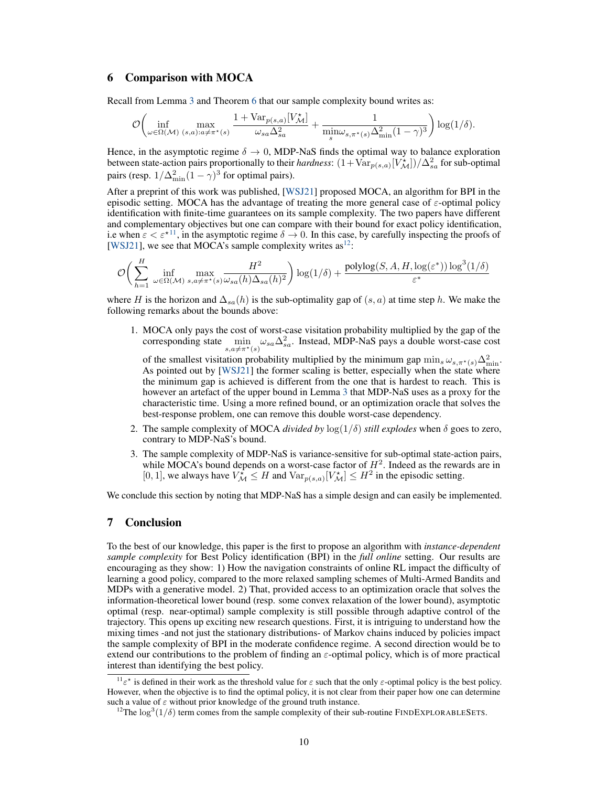## 6 Comparison with MOCA

Recall from Lemma 3 and Theorem 6 that our sample complexity bound writes as:

$$
\mathcal{O}\bigg(\inf_{\omega \in \Omega(\mathcal{M})} \max_{(s,a):a \neq \pi^{\star}(s)} \frac{1 + \text{Var}_{p(s,a)}[V^{\star}_{\mathcal{M}}]}{\omega_{sa}\Delta_{sa}^2} + \frac{1}{\min_{s}\omega_{s,\pi^{\star}(s)}\Delta_{\min}^2(1-\gamma)^3}\bigg) \log(1/\delta).
$$

Hence, in the asymptotic regime  $\delta \to 0$ , MDP-NaS finds the optimal way to balance exploration between state-action pairs proportionally to their *hardness*:  $(1 + Var_{p(s,a)}[V^*_{\mathcal{M}}])/\Delta_{sa}^2$  for sub-optimal pairs (resp.  $1/\Delta_{\min}^2(1-\gamma)^3$  for optimal pairs).

After a preprint of this work was published, [WSJ21] proposed MOCA, an algorithm for BPI in the episodic setting. MOCA has the advantage of treating the more general case of  $\varepsilon$ -optimal policy identification with finite-time guarantees on its sample complexity. The two papers have different and complementary objectives but one can compare with their bound for exact policy identification, i.e when  $\varepsilon < \varepsilon^{\star 11}$ , in the asymptotic regime  $\delta \to 0$ . In this case, by carefully inspecting the proofs of [WSJ21], we see that MOCA's sample complexity writes  $as^{12}$ :

$$
\mathcal{O}\bigg(\sum_{h=1}^{H} \inf_{\omega \in \Omega(\mathcal{M})} \max_{s, a \neq \pi^*(s)} \frac{H^2}{\omega_{sa}(h)\Delta_{sa}(h)^2}\bigg) \log(1/\delta) + \frac{\text{polylog}(S, A, H, \log(\varepsilon^*))\log^3(1/\delta)}{\varepsilon^*}
$$

where H is the horizon and  $\Delta_{sa}(h)$  is the sub-optimality gap of  $(s, a)$  at time step h. We make the following remarks about the bounds above:

1. MOCA only pays the cost of worst-case visitation probability multiplied by the gap of the corresponding state  $\min_{s,a\neq \pi^*(s)} \omega_{sa} \Delta_{sa}^2$ . Instead, MDP-NaS pays a double worst-case cost

of the smallest visitation probability multiplied by the minimum gap  $\min_s \omega_{s,\pi^*(s)} \Delta_{\min}^2$ . As pointed out by [WSJ21] the former scaling is better, especially when the state where the minimum gap is achieved is different from the one that is hardest to reach. This is however an artefact of the upper bound in Lemma 3 that MDP-NaS uses as a proxy for the characteristic time. Using a more refined bound, or an optimization oracle that solves the best-response problem, one can remove this double worst-case dependency.

- 2. The sample complexity of MOCA *divided by*  $\log(1/\delta)$  *still explodes* when  $\delta$  goes to zero, contrary to MDP-NaS's bound.
- 3. The sample complexity of MDP-NaS is variance-sensitive for sub-optimal state-action pairs, while MOCA's bound depends on a worst-case factor of  $H^2$ . Indeed as the rewards are in [0, 1], we always have  $V_M^* \leq H$  and  $Var_{p(s,a)}[V_M^*] \leq H^2$  in the episodic setting.

We conclude this section by noting that MDP-NaS has a simple design and can easily be implemented.

## 7 Conclusion

To the best of our knowledge, this paper is the first to propose an algorithm with *instance-dependent sample complexity* for Best Policy identification (BPI) in the *full online* setting. Our results are encouraging as they show: 1) How the navigation constraints of online RL impact the difficulty of learning a good policy, compared to the more relaxed sampling schemes of Multi-Armed Bandits and MDPs with a generative model. 2) That, provided access to an optimization oracle that solves the information-theoretical lower bound (resp. some convex relaxation of the lower bound), asymptotic optimal (resp. near-optimal) sample complexity is still possible through adaptive control of the trajectory. This opens up exciting new research questions. First, it is intriguing to understand how the mixing times -and not just the stationary distributions- of Markov chains induced by policies impact the sample complexity of BPI in the moderate confidence regime. A second direction would be to extend our contributions to the problem of finding an  $\varepsilon$ -optimal policy, which is of more practical interest than identifying the best policy.

<sup>&</sup>lt;sup>11</sup> $\varepsilon^*$  is defined in their work as the threshold value for  $\varepsilon$  such that the only  $\varepsilon$ -optimal policy is the best policy. However, when the objective is to find the optimal policy, it is not clear from their paper how one can determine such a value of  $\varepsilon$  without prior knowledge of the ground truth instance.

<sup>&</sup>lt;sup>12</sup>The  $\log^3(1/\delta)$  term comes from the sample complexity of their sub-routine FINDEXPLORABLESETS.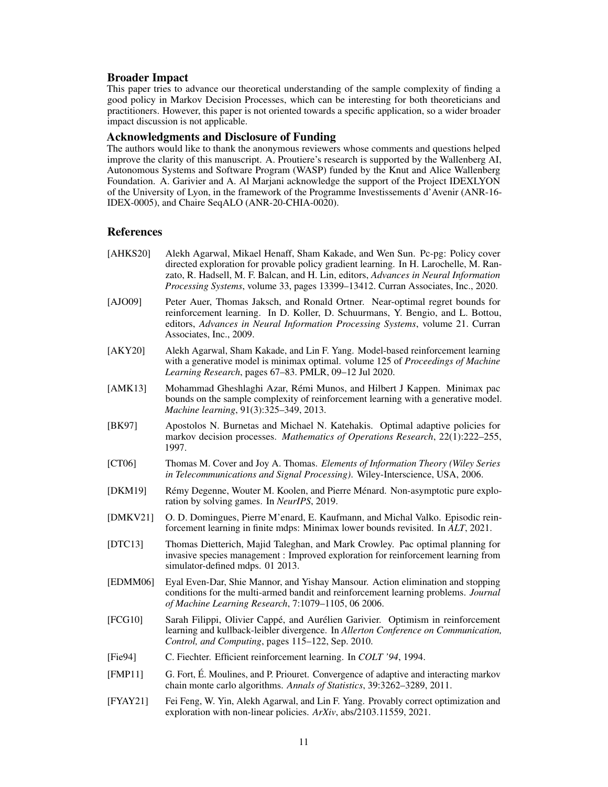## Broader Impact

This paper tries to advance our theoretical understanding of the sample complexity of finding a good policy in Markov Decision Processes, which can be interesting for both theoreticians and practitioners. However, this paper is not oriented towards a specific application, so a wider broader impact discussion is not applicable.

## Acknowledgments and Disclosure of Funding

The authors would like to thank the anonymous reviewers whose comments and questions helped improve the clarity of this manuscript. A. Proutiere's research is supported by the Wallenberg AI, Autonomous Systems and Software Program (WASP) funded by the Knut and Alice Wallenberg Foundation. A. Garivier and A. Al Marjani acknowledge the support of the Project IDEXLYON of the University of Lyon, in the framework of the Programme Investissements d'Avenir (ANR-16- IDEX-0005), and Chaire SeqALO (ANR-20-CHIA-0020).

## **References**

- [AHKS20] Alekh Agarwal, Mikael Henaff, Sham Kakade, and Wen Sun. Pc-pg: Policy cover directed exploration for provable policy gradient learning. In H. Larochelle, M. Ranzato, R. Hadsell, M. F. Balcan, and H. Lin, editors, *Advances in Neural Information Processing Systems*, volume 33, pages 13399–13412. Curran Associates, Inc., 2020.
- [AJO09] Peter Auer, Thomas Jaksch, and Ronald Ortner. Near-optimal regret bounds for reinforcement learning. In D. Koller, D. Schuurmans, Y. Bengio, and L. Bottou, editors, *Advances in Neural Information Processing Systems*, volume 21. Curran Associates, Inc., 2009.
- [AKY20] Alekh Agarwal, Sham Kakade, and Lin F. Yang. Model-based reinforcement learning with a generative model is minimax optimal. volume 125 of *Proceedings of Machine Learning Research*, pages 67–83. PMLR, 09–12 Jul 2020.
- [AMK13] Mohammad Gheshlaghi Azar, Rémi Munos, and Hilbert J Kappen. Minimax pac bounds on the sample complexity of reinforcement learning with a generative model. *Machine learning*, 91(3):325–349, 2013.
- [BK97] Apostolos N. Burnetas and Michael N. Katehakis. Optimal adaptive policies for markov decision processes. *Mathematics of Operations Research*, 22(1):222–255, 1997.
- [CT06] Thomas M. Cover and Joy A. Thomas. *Elements of Information Theory (Wiley Series in Telecommunications and Signal Processing)*. Wiley-Interscience, USA, 2006.
- [DKM19] Rémy Degenne, Wouter M. Koolen, and Pierre Ménard. Non-asymptotic pure exploration by solving games. In *NeurIPS*, 2019.
- [DMKV21] O. D. Domingues, Pierre M'enard, E. Kaufmann, and Michal Valko. Episodic reinforcement learning in finite mdps: Minimax lower bounds revisited. In *ALT*, 2021.
- [DTC13] Thomas Dietterich, Majid Taleghan, and Mark Crowley. Pac optimal planning for invasive species management : Improved exploration for reinforcement learning from simulator-defined mdps. 01 2013.
- [EDMM06] Eyal Even-Dar, Shie Mannor, and Yishay Mansour. Action elimination and stopping conditions for the multi-armed bandit and reinforcement learning problems. *Journal of Machine Learning Research*, 7:1079–1105, 06 2006.
- [FCG10] Sarah Filippi, Olivier Cappé, and Aurélien Garivier. Optimism in reinforcement learning and kullback-leibler divergence. In *Allerton Conference on Communication, Control, and Computing*, pages 115–122, Sep. 2010.
- [Fie94] C. Fiechter. Efficient reinforcement learning. In *COLT '94*, 1994.
- [FMP11] G. Fort, É. Moulines, and P. Priouret. Convergence of adaptive and interacting markov chain monte carlo algorithms. *Annals of Statistics*, 39:3262–3289, 2011.
- [FYAY21] Fei Feng, W. Yin, Alekh Agarwal, and Lin F. Yang. Provably correct optimization and exploration with non-linear policies. *ArXiv*, abs/2103.11559, 2021.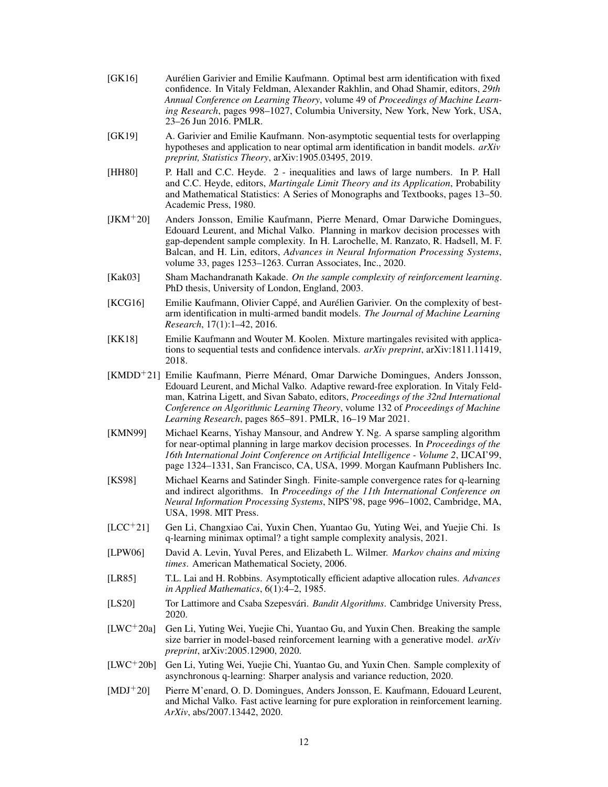- [GK16] Aurélien Garivier and Emilie Kaufmann. Optimal best arm identification with fixed confidence. In Vitaly Feldman, Alexander Rakhlin, and Ohad Shamir, editors, *29th Annual Conference on Learning Theory*, volume 49 of *Proceedings of Machine Learning Research*, pages 998–1027, Columbia University, New York, New York, USA, 23–26 Jun 2016. PMLR.
- [GK19] A. Garivier and Emilie Kaufmann. Non-asymptotic sequential tests for overlapping hypotheses and application to near optimal arm identification in bandit models. *arXiv preprint, Statistics Theory*, arXiv:1905.03495, 2019.
- [HH80] P. Hall and C.C. Heyde. 2 inequalities and laws of large numbers. In P. Hall and C.C. Heyde, editors, *Martingale Limit Theory and its Application*, Probability and Mathematical Statistics: A Series of Monographs and Textbooks, pages 13–50. Academic Press, 1980.
- [JKM+20] Anders Jonsson, Emilie Kaufmann, Pierre Menard, Omar Darwiche Domingues, Edouard Leurent, and Michal Valko. Planning in markov decision processes with gap-dependent sample complexity. In H. Larochelle, M. Ranzato, R. Hadsell, M. F. Balcan, and H. Lin, editors, *Advances in Neural Information Processing Systems*, volume 33, pages 1253–1263. Curran Associates, Inc., 2020.
- [Kak03] Sham Machandranath Kakade. *On the sample complexity of reinforcement learning*. PhD thesis, University of London, England, 2003.
- [KCG16] Emilie Kaufmann, Olivier Cappé, and Aurélien Garivier. On the complexity of bestarm identification in multi-armed bandit models. *The Journal of Machine Learning Research*, 17(1):1–42, 2016.
- [KK18] Emilie Kaufmann and Wouter M. Koolen. Mixture martingales revisited with applications to sequential tests and confidence intervals. *arXiv preprint*, arXiv:1811.11419, 2018.
- [KMDD<sup>+</sup>21] Emilie Kaufmann, Pierre Ménard, Omar Darwiche Domingues, Anders Jonsson, Edouard Leurent, and Michal Valko. Adaptive reward-free exploration. In Vitaly Feldman, Katrina Ligett, and Sivan Sabato, editors, *Proceedings of the 32nd International Conference on Algorithmic Learning Theory*, volume 132 of *Proceedings of Machine Learning Research*, pages 865–891. PMLR, 16–19 Mar 2021.
- [KMN99] Michael Kearns, Yishay Mansour, and Andrew Y. Ng. A sparse sampling algorithm for near-optimal planning in large markov decision processes. In *Proceedings of the 16th International Joint Conference on Artificial Intelligence - Volume 2*, IJCAI'99, page 1324–1331, San Francisco, CA, USA, 1999. Morgan Kaufmann Publishers Inc.
- [KS98] Michael Kearns and Satinder Singh. Finite-sample convergence rates for q-learning and indirect algorithms. In *Proceedings of the 11th International Conference on Neural Information Processing Systems*, NIPS'98, page 996–1002, Cambridge, MA, USA, 1998. MIT Press.
- [LCC<sup>+</sup>21] Gen Li, Changxiao Cai, Yuxin Chen, Yuantao Gu, Yuting Wei, and Yuejie Chi. Is q-learning minimax optimal? a tight sample complexity analysis, 2021.
- [LPW06] David A. Levin, Yuval Peres, and Elizabeth L. Wilmer. *Markov chains and mixing times*. American Mathematical Society, 2006.
- [LR85] T.L. Lai and H. Robbins. Asymptotically efficient adaptive allocation rules. *Advances in Applied Mathematics*, 6(1):4–2, 1985.
- [LS20] Tor Lattimore and Csaba Szepesvári. *Bandit Algorithms*. Cambridge University Press, 2020.
- [LWC<sup>+</sup>20a] Gen Li, Yuting Wei, Yuejie Chi, Yuantao Gu, and Yuxin Chen. Breaking the sample size barrier in model-based reinforcement learning with a generative model. *arXiv preprint*, arXiv:2005.12900, 2020.
- [LWC<sup>+</sup>20b] Gen Li, Yuting Wei, Yuejie Chi, Yuantao Gu, and Yuxin Chen. Sample complexity of asynchronous q-learning: Sharper analysis and variance reduction, 2020.
- [MDJ<sup>+</sup>20] Pierre M'enard, O. D. Domingues, Anders Jonsson, E. Kaufmann, Edouard Leurent, and Michal Valko. Fast active learning for pure exploration in reinforcement learning. *ArXiv*, abs/2007.13442, 2020.